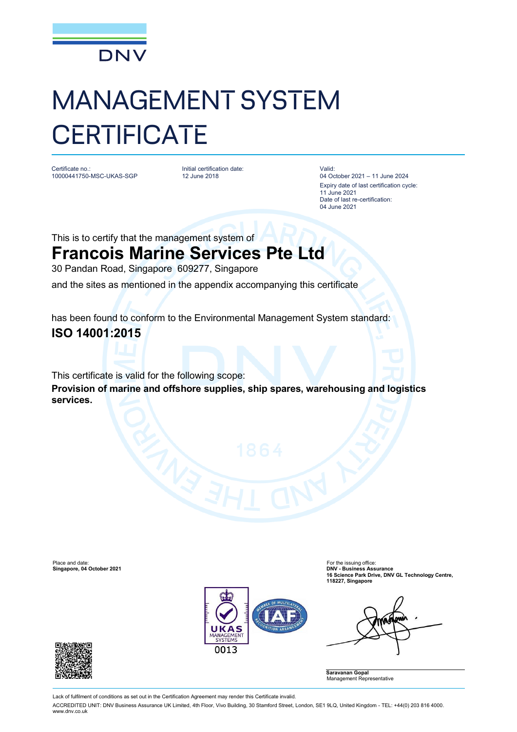

## MANAGEMENT SYSTEM **CERTIFICATE**

Certificate no. 10000441750-MSC-UKAS-SGP Initial certification date: 12 June 2018

Valid: 04 October 2021 – 11 June 2024 Expiry date of last certification cycle: 11 June 2021 Date of last re-certification: 04 June 2021

This is to certify that the management system of

## **Francois Marine Services Pte Ltd**

30 Pandan Road, Singapore 609277, Singapore

and the sites as mentioned in the appendix accompanying this certificate

has been found to conform to the Environmental Management System standard:

## **ISO 14001:2015**

This certificate is valid for the following scope:

**Provision of marine and offshore supplies, ship spares, warehousing and logistics services.**





**Saravanan Gopal** Management Representative



Lack of fulfilment of conditions as set out in the Certification Agreement may render this Certificate invalid.

ACCREDITED UNIT: DNV Business Assurance UK Limited, 4th Floor, Vivo Building, 30 Stamford Street, London, SE1 9LQ, United Kingdom - TEL: +44(0) 203 816 4000. [www.dnv.co.uk](http://www.dnv.co.uk)